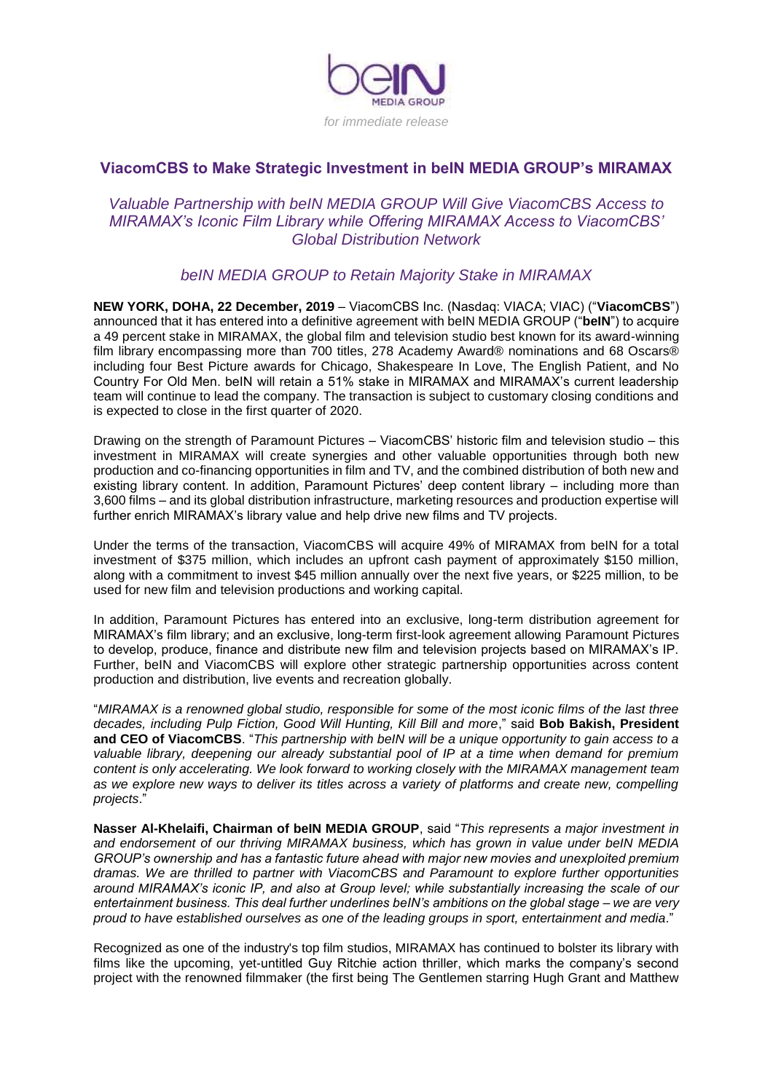

# **ViacomCBS to Make Strategic Investment in beIN MEDIA GROUP's MIRAMAX**

## *Valuable Partnership with beIN MEDIA GROUP Will Give ViacomCBS Access to MIRAMAX's Iconic Film Library while Offering MIRAMAX Access to ViacomCBS' Global Distribution Network*

## *beIN MEDIA GROUP to Retain Majority Stake in MIRAMAX*

**NEW YORK, DOHA, 22 December, 2019** – ViacomCBS Inc. (Nasdaq: VIACA; VIAC) ("**ViacomCBS**") announced that it has entered into a definitive agreement with beIN MEDIA GROUP ("**beIN**") to acquire a 49 percent stake in MIRAMAX, the global film and television studio best known for its award-winning film library encompassing more than 700 titles, 278 Academy Award® nominations and 68 Oscars® including four Best Picture awards for Chicago, Shakespeare In Love, The English Patient, and No Country For Old Men. beIN will retain a 51% stake in MIRAMAX and MIRAMAX's current leadership team will continue to lead the company. The transaction is subject to customary closing conditions and is expected to close in the first quarter of 2020.

Drawing on the strength of Paramount Pictures – ViacomCBS' historic film and television studio – this investment in MIRAMAX will create synergies and other valuable opportunities through both new production and co-financing opportunities in film and TV, and the combined distribution of both new and existing library content. In addition, Paramount Pictures' deep content library – including more than 3,600 films – and its global distribution infrastructure, marketing resources and production expertise will further enrich MIRAMAX's library value and help drive new films and TV projects.

Under the terms of the transaction, ViacomCBS will acquire 49% of MIRAMAX from beIN for a total investment of \$375 million, which includes an upfront cash payment of approximately \$150 million, along with a commitment to invest \$45 million annually over the next five years, or \$225 million, to be used for new film and television productions and working capital.

In addition, Paramount Pictures has entered into an exclusive, long-term distribution agreement for MIRAMAX's film library; and an exclusive, long-term first-look agreement allowing Paramount Pictures to develop, produce, finance and distribute new film and television projects based on MIRAMAX's IP. Further, beIN and ViacomCBS will explore other strategic partnership opportunities across content production and distribution, live events and recreation globally.

"*MIRAMAX is a renowned global studio, responsible for some of the most iconic films of the last three decades, including Pulp Fiction, Good Will Hunting, Kill Bill and more*," said **Bob Bakish, President and CEO of ViacomCBS**. "*This partnership with beIN will be a unique opportunity to gain access to a valuable library, deepening our already substantial pool of IP at a time when demand for premium content is only accelerating. We look forward to working closely with the MIRAMAX management team as we explore new ways to deliver its titles across a variety of platforms and create new, compelling projects*."

**Nasser Al-Khelaifi, Chairman of beIN MEDIA GROUP**, said "*This represents a major investment in and endorsement of our thriving MIRAMAX business, which has grown in value under beIN MEDIA GROUP's ownership and has a fantastic future ahead with major new movies and unexploited premium dramas. We are thrilled to partner with ViacomCBS and Paramount to explore further opportunities around MIRAMAX's iconic IP, and also at Group level; while substantially increasing the scale of our entertainment business. This deal further underlines beIN's ambitions on the global stage – we are very proud to have established ourselves as one of the leading groups in sport, entertainment and media*."

Recognized as one of the industry's top film studios, MIRAMAX has continued to bolster its library with films like the upcoming, yet-untitled Guy Ritchie action thriller, which marks the company's second project with the renowned filmmaker (the first being The Gentlemen starring Hugh Grant and Matthew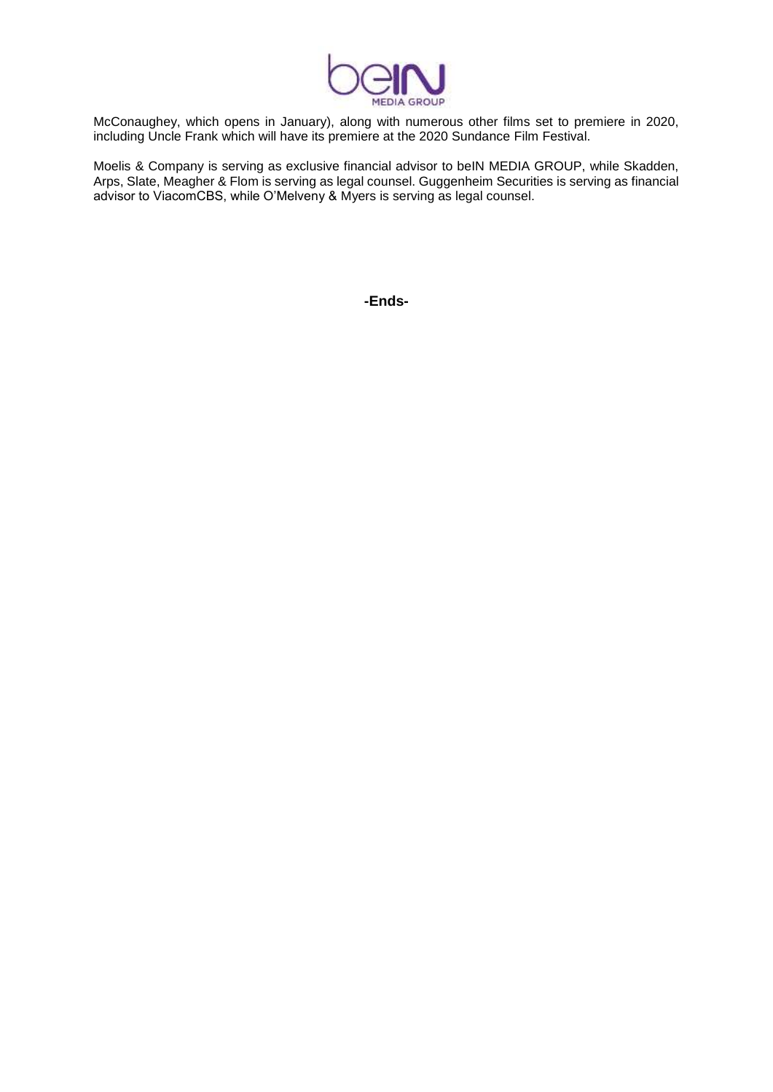

McConaughey, which opens in January), along with numerous other films set to premiere in 2020, including Uncle Frank which will have its premiere at the 2020 Sundance Film Festival.

Moelis & Company is serving as exclusive financial advisor to beIN MEDIA GROUP, while Skadden, Arps, Slate, Meagher & Flom is serving as legal counsel. Guggenheim Securities is serving as financial advisor to ViacomCBS, while O'Melveny & Myers is serving as legal counsel.

**-Ends-**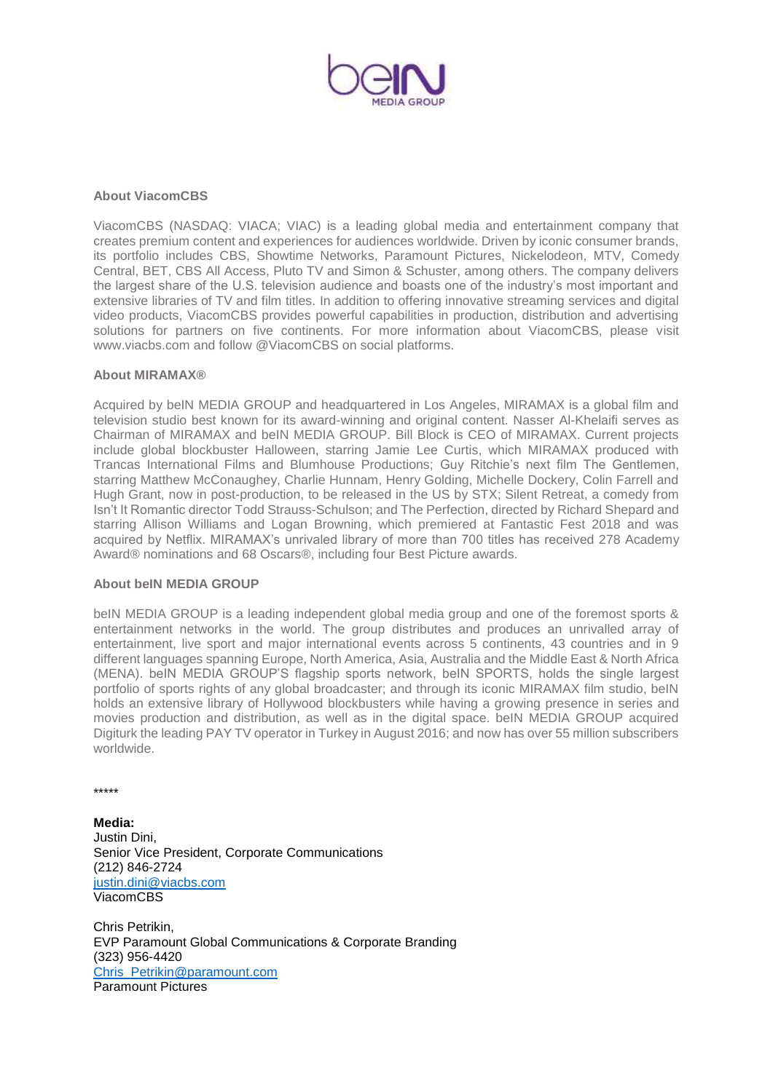

### **About ViacomCBS**

ViacomCBS (NASDAQ: VIACA; VIAC) is a leading global media and entertainment company that creates premium content and experiences for audiences worldwide. Driven by iconic consumer brands, its portfolio includes CBS, Showtime Networks, Paramount Pictures, Nickelodeon, MTV, Comedy Central, BET, CBS All Access, Pluto TV and Simon & Schuster, among others. The company delivers the largest share of the U.S. television audience and boasts one of the industry's most important and extensive libraries of TV and film titles. In addition to offering innovative streaming services and digital video products, ViacomCBS provides powerful capabilities in production, distribution and advertising solutions for partners on five continents. For more information about ViacomCBS, please visit www.viacbs.com and follow @ViacomCBS on social platforms.

### **About MIRAMAX®**

Acquired by beIN MEDIA GROUP and headquartered in Los Angeles, MIRAMAX is a global film and television studio best known for its award-winning and original content. Nasser Al-Khelaifi serves as Chairman of MIRAMAX and beIN MEDIA GROUP. Bill Block is CEO of MIRAMAX. Current projects include global blockbuster Halloween, starring Jamie Lee Curtis, which MIRAMAX produced with Trancas International Films and Blumhouse Productions; Guy Ritchie's next film The Gentlemen, starring Matthew McConaughey, Charlie Hunnam, Henry Golding, Michelle Dockery, Colin Farrell and Hugh Grant, now in post-production, to be released in the US by STX; Silent Retreat, a comedy from Isn't It Romantic director Todd Strauss-Schulson; and The Perfection, directed by Richard Shepard and starring Allison Williams and Logan Browning, which premiered at Fantastic Fest 2018 and was acquired by Netflix. MIRAMAX's unrivaled library of more than 700 titles has received 278 Academy Award® nominations and 68 Oscars®, including four Best Picture awards.

### **About beIN MEDIA GROUP**

beIN MEDIA GROUP is a leading independent global media group and one of the foremost sports & entertainment networks in the world. The group distributes and produces an unrivalled array of entertainment, live sport and major international events across 5 continents, 43 countries and in 9 different languages spanning Europe, North America, Asia, Australia and the Middle East & North Africa (MENA). beIN MEDIA GROUP'S flagship sports network, beIN SPORTS, holds the single largest portfolio of sports rights of any global broadcaster; and through its iconic MIRAMAX film studio, beIN holds an extensive library of Hollywood blockbusters while having a growing presence in series and movies production and distribution, as well as in the digital space. beIN MEDIA GROUP acquired Digiturk the leading PAY TV operator in Turkey in August 2016; and now has over 55 million subscribers worldwide.

\*\*\*\*\*

**Media:** Justin Dini, Senior Vice President, Corporate Communications (212) 846-2724 [justin.dini@viacbs.com](mailto:justin.dini@viacbs.com) ViacomCBS

Chris Petrikin, EVP Paramount Global Communications & Corporate Branding (323) 956-4420 [Chris\\_Petrikin@paramount.com](mailto:Chris_Petrikin@paramount.com) Paramount Pictures